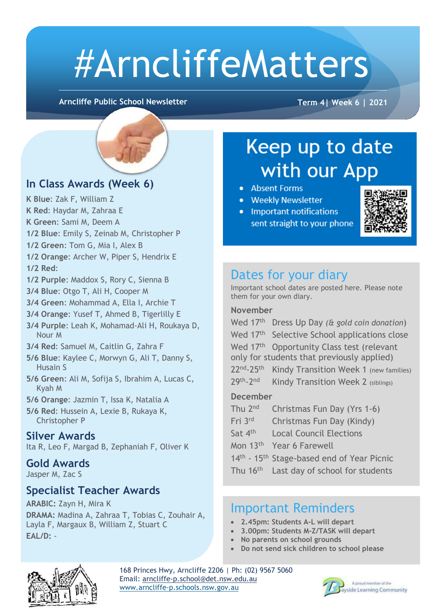# #ArncliffeMatters

**Arncliffe Public School Newsletter Term 4| Week 6 | 2021**

#### **In Class Awards (Week 6)**

- **K Blue**: Zak F, William Z
- **K Red**: Haydar M, Zahraa E
- **K Green**: Sami M, Deem A
- **1/2 Blue**: Emily S, Zeinab M, Christopher P
- **1/2 Green**: Tom G, Mia I, Alex B
- **1/2 Orange**: Archer W, Piper S, Hendrix E **1/2 Red**:
- **1/2 Purple**: Maddox S, Rory C, Sienna B
- **3/4 Blue**: Otgo T, Ali H, Cooper M
- **3/4 Green**: Mohammad A, Ella I, Archie T
- **3/4 Orange**: Yusef T, Ahmed B, Tigerlilly E
- **3/4 Purple**: Leah K, Mohamad-Ali H, Roukaya D, Nour M
- **3/4 Red**: Samuel M, Caitlin G, Zahra F
- **5/6 Blue**: Kaylee C, Morwyn G, Ali T, Danny S, Husain S
- **5/6 Green**: Ali M, Sofija S, Ibrahim A, Lucas C, Kyah M
- **5/6 Orange**: Jazmin T, Issa K, Natalia A
- **5/6 Red**: Hussein A, Lexie B, Rukaya K, Christopher P

#### **Silver Awards**

Ita R, Leo F, Margad B, Zephaniah F, Oliver K

#### **Gold Awards**

Jasper M, Zac S

#### **Specialist Teacher Awards**

**ARABIC:** Zayn H, Mira K **DRAMA:** Madina A, Zahraa T, Tobias C, Zouhair A, Layla F, Margaux B, William Z, Stuart C **EAL/D:** -

## Keep up to date with our App

- Absent Forms
- Weekly Newsletter
- Important notifications sent straight to your phone



#### Dates for your diary

Important school dates are posted here. Please note them for your own diary.

#### **November**

Wed 17th Dress Up Day *(& gold coin donation*) Wed 17<sup>th</sup> Selective School applications close Wed 17<sup>th</sup> Opportunity Class test (relevant only for students that previously applied) 22<sup>nd</sup>-25<sup>th</sup> Kindy Transition Week 1 (new families) 29<sup>th</sup>-2<sup>nd</sup> Kindy Transition Week 2 (siblings)

#### **December**

- Thu 2<sup>nd</sup> Christmas Fun Day (Yrs 1-6)
- Fri 3rd Christmas Fun Day (Kindy)
- Sat 4<sup>th</sup> Local Council Elections
- Mon 13th Year 6 Farewell
- 14<sup>th</sup> 15<sup>th</sup> Stage-based end of Year Picnic
- Thu 16<sup>th</sup> Last day of school for students

#### Important Reminders

- **2.45pm: Students A-L will depart**
- **3.00pm: Students M-Z/TASK will depart**
- **No parents on school grounds**
- **Do not send sick children to school please**



168 Princes Hwy, Arncliffe 2206 | Ph: (02) 9567 5060 Email: [arncliffe-p.school@det.nsw.edu.au](mailto:arncliffe-p.school@det.nsw.edu.au) [www.arncliffe-p.schools.nsw.gov.au](http://www.arncliffe-p.schools.nsw.gov.au/)

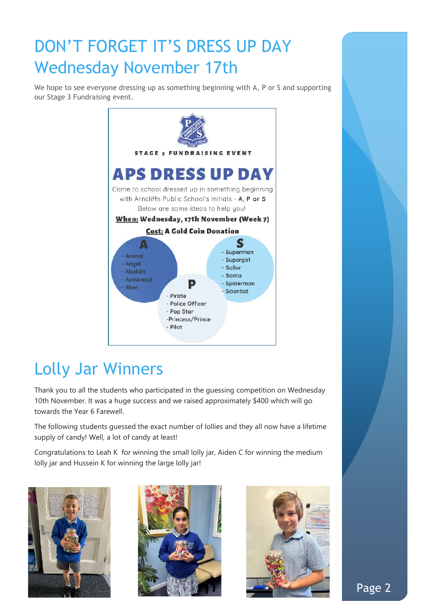## DON'T FORGET IT'S DRESS UP DAY Wednesday November 17th

We hope to see everyone dressing up as something beginning with A, P or S and supporting our Stage 3 Fundraising event.



## Lolly Jar Winners

Thank you to all the students who participated in the guessing competition on Wednesday 10th November. It was a huge success and we raised approximately \$400 which will go towards the Year 6 Farewell.

The following students guessed the exact number of lollies and they all now have a lifetime supply of candy! Well, a lot of candy at least!

Congratulations to Leah K for winning the small lolly jar, Aiden C for winning the medium lolly jar and Hussein K for winning the large lolly jar!





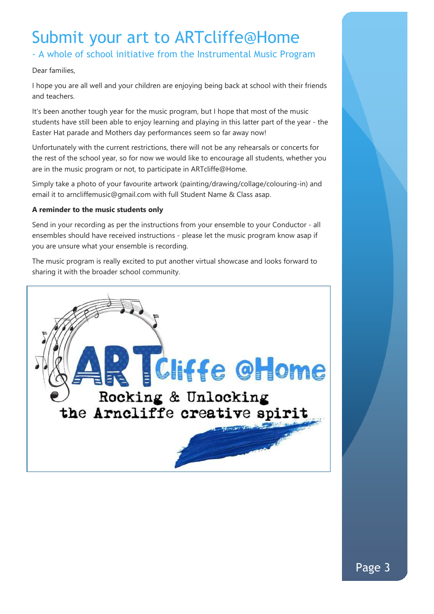## Submit your art to ARTcliffe@Home

- A whole of school initiative from the Instrumental Music Program

#### Dear families,

I hope you are all well and your children are enjoying being back at school with their friends and teachers.

It's been another tough year for the music program, but I hope that most of the music students have still been able to enjoy learning and playing in this latter part of the year - the Easter Hat parade and Mothers day performances seem so far away now!

Unfortunately with the current restrictions, there will not be any rehearsals or concerts for the rest of the school year, so for now we would like to encourage all students, whether you are in the music program or not, to participate in ARTcliffe@Home.

Simply take a photo of your favourite artwork (painting/drawing/collage/colouring-in) and email it to arncliffemusic@gmail.com with full Student Name & Class asap.

#### **A reminder to the music students only**

Send in your recording as per the instructions from your ensemble to your Conductor - all ensembles should have received instructions - please let the music program know asap if you are unsure what your ensemble is recording.

The music program is really excited to put another virtual showcase and looks forward to sharing it with the broader school community.

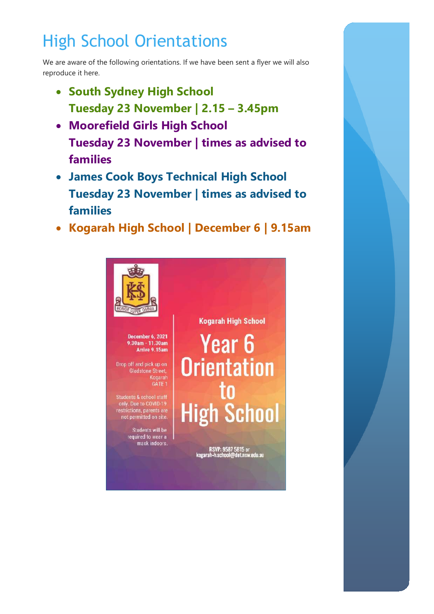## High School Orientations

We are aware of the following orientations. If we have been sent a flyer we will also reproduce it here.

- **South Sydney High School Tuesday 23 November | 2.15 – 3.45pm**
- **Moorefield Girls High School Tuesday 23 November | times as advised to families**
- **James Cook Boys Technical High School Tuesday 23 November | times as advised to families**
- **Kogarah High School | December 6 | 9.15am**